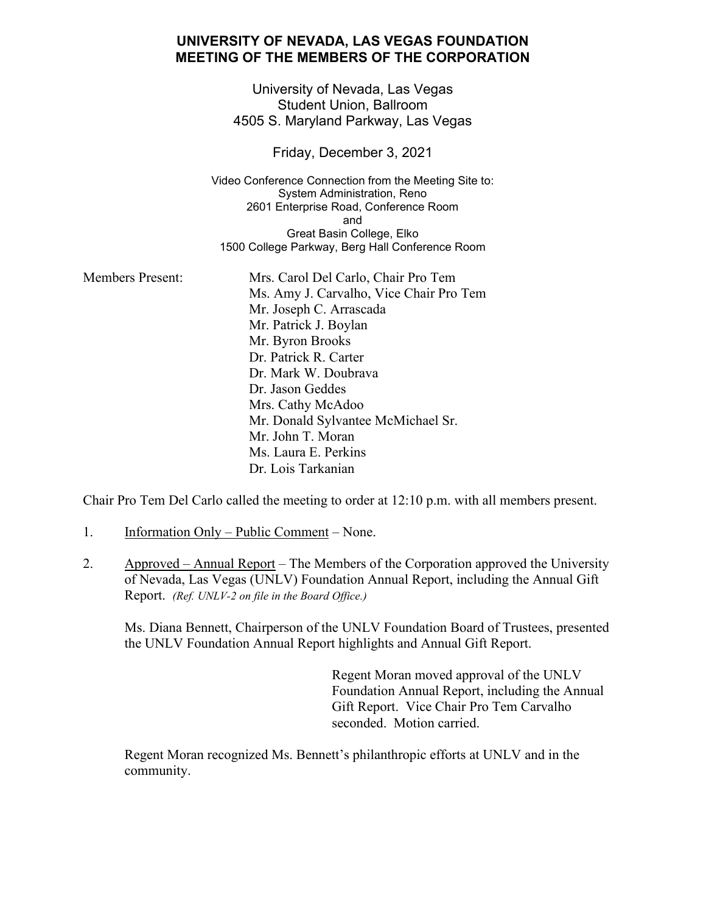## **UNIVERSITY OF NEVADA, LAS VEGAS FOUNDATION MEETING OF THE MEMBERS OF THE CORPORATION**

University of Nevada, Las Vegas Student Union, Ballroom 4505 S. Maryland Parkway, Las Vegas

Friday, December 3, 2021

Video Conference Connection from the Meeting Site to: System Administration, Reno 2601 Enterprise Road, Conference Room and Great Basin College, Elko 1500 College Parkway, Berg Hall Conference Room

Members Present: Mrs. Carol Del Carlo, Chair Pro Tem Ms. Amy J. Carvalho, Vice Chair Pro Tem Mr. Joseph C. Arrascada Mr. Patrick J. Boylan Mr. Byron Brooks Dr. Patrick R. Carter Dr. Mark W. Doubrava Dr. Jason Geddes Mrs. Cathy McAdoo Mr. Donald Sylvantee McMichael Sr. Mr. John T. Moran Ms. Laura E. Perkins Dr. Lois Tarkanian

Chair Pro Tem Del Carlo called the meeting to order at 12:10 p.m. with all members present.

- 1. Information Only Public Comment None.
- 2. Approved Annual Report The Members of the Corporation approved the University of Nevada, Las Vegas (UNLV) Foundation Annual Report, including the Annual Gift Report. *(Ref. UNLV-2 on file in the Board Office.)*

Ms. Diana Bennett, Chairperson of the UNLV Foundation Board of Trustees, presented the UNLV Foundation Annual Report highlights and Annual Gift Report.

> Regent Moran moved approval of the UNLV Foundation Annual Report, including the Annual Gift Report. Vice Chair Pro Tem Carvalho seconded. Motion carried.

Regent Moran recognized Ms. Bennett's philanthropic efforts at UNLV and in the community.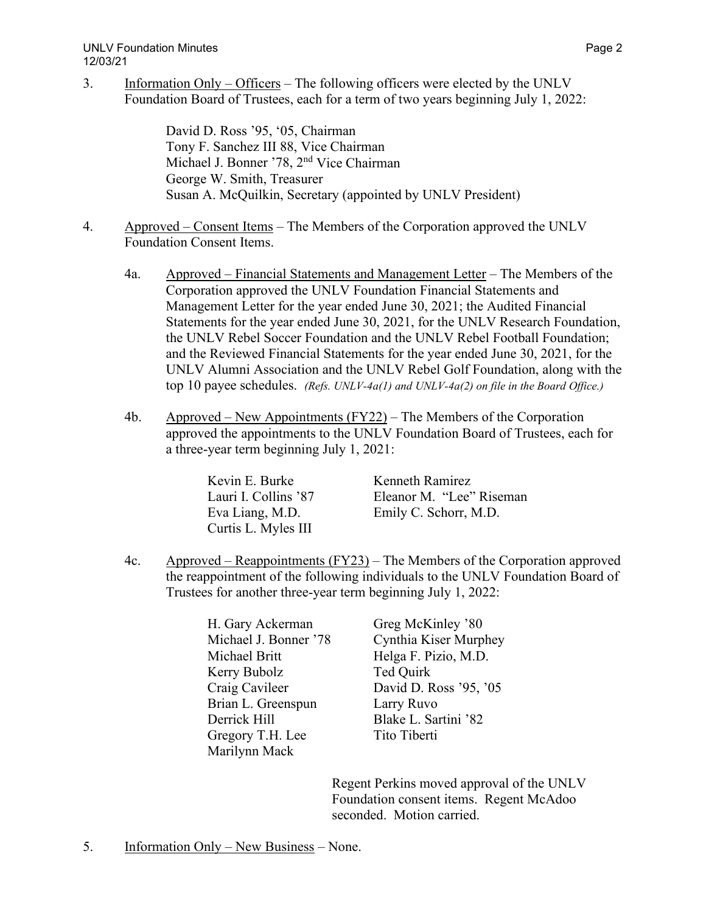3. Information Only – Officers – The following officers were elected by the UNLV Foundation Board of Trustees, each for a term of two years beginning July 1, 2022:

> David D. Ross '95, '05, Chairman Tony F. Sanchez III 88, Vice Chairman Michael J. Bonner '78, 2nd Vice Chairman George W. Smith, Treasurer Susan A. McQuilkin, Secretary (appointed by UNLV President)

- 4. Approved Consent Items The Members of the Corporation approved the UNLV Foundation Consent Items.
	- 4a. Approved Financial Statements and Management Letter The Members of the Corporation approved the UNLV Foundation Financial Statements and Management Letter for the year ended June 30, 2021; the Audited Financial Statements for the year ended June 30, 2021, for the UNLV Research Foundation, the UNLV Rebel Soccer Foundation and the UNLV Rebel Football Foundation; and the Reviewed Financial Statements for the year ended June 30, 2021, for the UNLV Alumni Association and the UNLV Rebel Golf Foundation, along with the top 10 payee schedules. *(Refs. UNLV-4a(1) and UNLV-4a(2) on file in the Board Office.)*
	- 4b. Approved New Appointments  $(FY22)$  The Members of the Corporation approved the appointments to the UNLV Foundation Board of Trustees, each for a three-year term beginning July 1, 2021:

| Kevin E. Burke       | Kenneth Ramirez          |
|----------------------|--------------------------|
| Lauri I. Collins '87 | Eleanor M. "Lee" Riseman |
| Eva Liang, M.D.      | Emily C. Schorr, M.D.    |
| Curtis L. Myles III  |                          |

4c. Approved – Reappointments (FY23) – The Members of the Corporation approved the reappointment of the following individuals to the UNLV Foundation Board of Trustees for another three-year term beginning July 1, 2022:

> H. Gary Ackerman Greg McKinley '80 Michael Britt Helga F. Pizio, M.D. Kerry Bubolz Ted Quirk Brian L. Greenspun Larry Ruvo Derrick Hill Blake L. Sartini '82 Gregory T.H. Lee Tito Tiberti Marilynn Mack

Michael J. Bonner '78 Cynthia Kiser Murphey Craig Cavileer David D. Ross '95, '05

> Regent Perkins moved approval of the UNLV Foundation consent items. Regent McAdoo seconded. Motion carried.

5. Information Only – New Business – None.